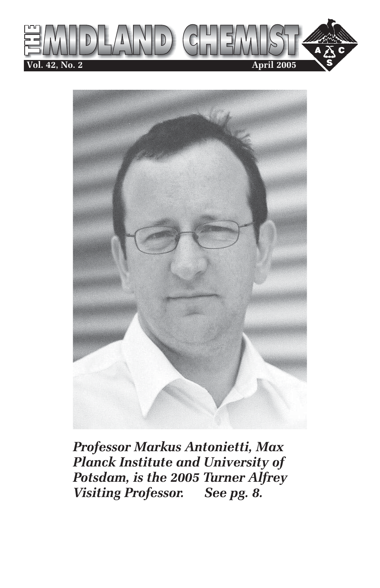



*Professor Markus Antonietti, Max Planck Institute and University of Potsdam, is the 2005 Turner Alfrey Visiting Professor. See pg. 8.*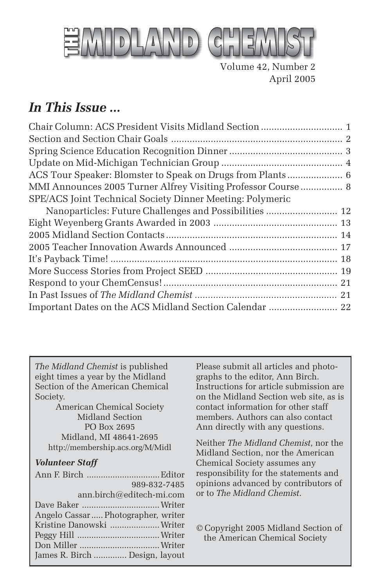

Volume 42, Number 2 April 2005

### *In This Issue ...*

| Chair Column: ACS President Visits Midland Section  1        |  |
|--------------------------------------------------------------|--|
|                                                              |  |
|                                                              |  |
|                                                              |  |
| ACS Tour Speaker: Blomster to Speak on Drugs from Plants 6   |  |
| MMI Announces 2005 Turner Alfrey Visiting Professor Course 8 |  |
| SPE/ACS Joint Technical Society Dinner Meeting: Polymeric    |  |
| Nanoparticles: Future Challenges and Possibilities  12       |  |
|                                                              |  |
|                                                              |  |
|                                                              |  |
|                                                              |  |
|                                                              |  |
|                                                              |  |
|                                                              |  |
| Important Dates on the ACS Midland Section Calendar  22      |  |

*The Midland Chemist* is published eight times a year by the Midland Section of the American Chemical Society.

American Chemical Society Midland Section PO Box 2695 Midland, MI 48641-2695 http://membership.acs.org/M/Midl

#### *Volunteer Staff*

| 989-832-7485                       |  |
|------------------------------------|--|
| ann.birch@editech-mi.com           |  |
|                                    |  |
| Angelo Cassar Photographer, writer |  |
| Kristine Danowski  Writer          |  |
|                                    |  |
|                                    |  |
| James R. Birch  Design, layout     |  |

Please submit all articles and photographs to the editor, Ann Birch. Instructions for article submission are on the Midland Section web site, as is contact information for other staff members. Authors can also contact Ann directly with any questions.

Neither *The Midland Chemist*, nor the Midland Section, nor the American Chemical Society assumes any responsibility for the statements and opinions advanced by contributors of or to *The Midland Chemist*.

© Copyright 2005 Midland Section of the American Chemical Society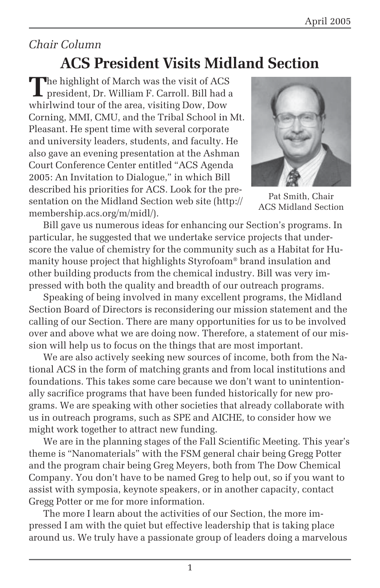## *Chair Column*

## **ACS President Visits Midland Section**

**T**he highlight of March was the visit of ACS president, Dr. William F. Carroll. Bill had a whirlwind tour of the area, visiting Dow, Dow Corning, MMI, CMU, and the Tribal School in Mt. Pleasant. He spent time with several corporate and university leaders, students, and faculty. He also gave an evening presentation at the Ashman Court Conference Center entitled "ACS Agenda 2005: An Invitation to Dialogue," in which Bill described his priorities for ACS. Look for the presentation on the Midland Section web site (http:// membership.acs.org/m/midl/).



Pat Smith, Chair ACS Midland Section

Bill gave us numerous ideas for enhancing our Section's programs. In particular, he suggested that we undertake service projects that underscore the value of chemistry for the community such as a Habitat for Humanity house project that highlights Styrofoam® brand insulation and other building products from the chemical industry. Bill was very impressed with both the quality and breadth of our outreach programs.

Speaking of being involved in many excellent programs, the Midland Section Board of Directors is reconsidering our mission statement and the calling of our Section. There are many opportunities for us to be involved over and above what we are doing now. Therefore, a statement of our mission will help us to focus on the things that are most important.

We are also actively seeking new sources of income, both from the National ACS in the form of matching grants and from local institutions and foundations. This takes some care because we don't want to unintentionally sacrifice programs that have been funded historically for new programs. We are speaking with other societies that already collaborate with us in outreach programs, such as SPE and AICHE, to consider how we might work together to attract new funding.

We are in the planning stages of the Fall Scientific Meeting. This year's theme is "Nanomaterials" with the FSM general chair being Gregg Potter and the program chair being Greg Meyers, both from The Dow Chemical Company. You don't have to be named Greg to help out, so if you want to assist with symposia, keynote speakers, or in another capacity, contact Gregg Potter or me for more information.

The more I learn about the activities of our Section, the more impressed I am with the quiet but effective leadership that is taking place around us. We truly have a passionate group of leaders doing a marvelous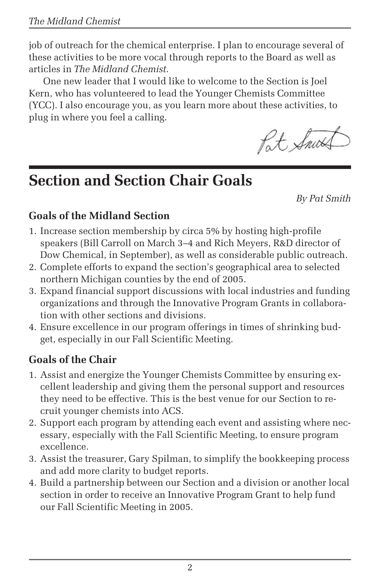job of outreach for the chemical enterprise. I plan to encourage several of these activities to be more vocal through reports to the Board as well as articles in *The Midland Chemist*.

One new leader that I would like to welcome to the Section is Joel Kern, who has volunteered to lead the Younger Chemists Committee (YCC). I also encourage you, as you learn more about these activities, to plug in where you feel a calling.

Pat Snut

## **Section and Section Chair Goals**

*By Pat Smith*

### **Goals of the Midland Section**

- 1. Increase section membership by circa 5% by hosting high-profile speakers (Bill Carroll on March 3–4 and Rich Meyers, R&D director of Dow Chemical, in September), as well as considerable public outreach.
- 2. Complete efforts to expand the section's geographical area to selected northern Michigan counties by the end of 2005.
- 3. Expand financial support discussions with local industries and funding organizations and through the Innovative Program Grants in collaboration with other sections and divisions.
- 4. Ensure excellence in our program offerings in times of shrinking budget, especially in our Fall Scientific Meeting.

### **Goals of the Chair**

- 1. Assist and energize the Younger Chemists Committee by ensuring excellent leadership and giving them the personal support and resources they need to be effective. This is the best venue for our Section to recruit younger chemists into ACS.
- 2. Support each program by attending each event and assisting where necessary, especially with the Fall Scientific Meeting, to ensure program excellence.
- 3. Assist the treasurer, Gary Spilman, to simplify the bookkeeping process and add more clarity to budget reports.
- 4. Build a partnership between our Section and a division or another local section in order to receive an Innovative Program Grant to help fund our Fall Scientific Meeting in 2005.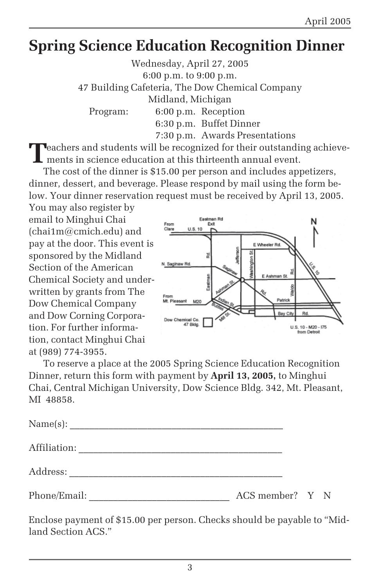## **Spring Science Education Recognition Dinner**

Wednesday, April 27, 2005 6:00 p.m. to 9:00 p.m. 47 Building Cafeteria, The Dow Chemical Company Midland, Michigan Program: 6:00 p.m. Reception 6:30 p.m. Buffet Dinner 7:30 p.m. Awards Presentations

**T**eachers and students will be recognized for their outstanding achievements in science education at this thirteenth annual event.

The cost of the dinner is \$15.00 per person and includes appetizers, dinner, dessert, and beverage. Please respond by mail using the form below. Your dinner reservation request must be received by April 13, 2005.

You may also register by email to Minghui Chai (chai1m@cmich.edu) and pay at the door. This event is sponsored by the Midland Section of the American Chemical Society and underwritten by grants from The Dow Chemical Company and Dow Corning Corporation. For further information, contact Minghui Chai at (989) 774-3955.



To reserve a place at the 2005 Spring Science Education Recognition Dinner, return this form with payment by **April 13, 2005,** to Minghui Chai, Central Michigan University, Dow Science Bldg. 342, Mt. Pleasant, MI 48858.

| Affiliation: |                 |  |  |
|--------------|-----------------|--|--|
| Address:     |                 |  |  |
| Phone/Email: | ACS member? Y N |  |  |

Enclose payment of \$15.00 per person. Checks should be payable to "Midland Section ACS."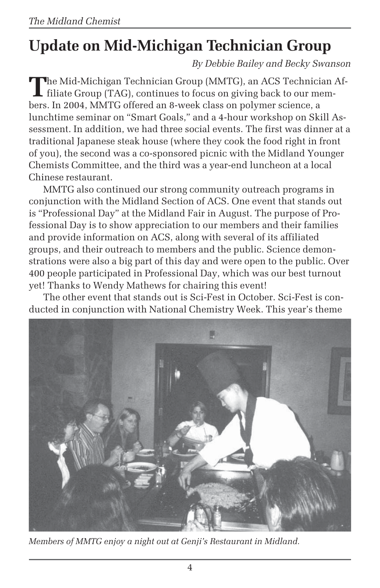# **Update on Mid-Michigan Technician Group**

*By Debbie Bailey and Becky Swanson*

**T**he Mid-Michigan Technician Group (MMTG), an ACS Technician Af**filiate Group (TAG), continues to focus on giving back to our mem**bers. In 2004, MMTG offered an 8-week class on polymer science, a lunchtime seminar on "Smart Goals," and a 4-hour workshop on Skill Assessment. In addition, we had three social events. The first was dinner at a traditional Japanese steak house (where they cook the food right in front of you), the second was a co-sponsored picnic with the Midland Younger Chemists Committee, and the third was a year-end luncheon at a local Chinese restaurant.

MMTG also continued our strong community outreach programs in conjunction with the Midland Section of ACS. One event that stands out is "Professional Day" at the Midland Fair in August. The purpose of Professional Day is to show appreciation to our members and their families and provide information on ACS, along with several of its affiliated groups, and their outreach to members and the public. Science demonstrations were also a big part of this day and were open to the public. Over 400 people participated in Professional Day, which was our best turnout yet! Thanks to Wendy Mathews for chairing this event!

The other event that stands out is Sci-Fest in October. Sci-Fest is conducted in conjunction with National Chemistry Week. This year's theme



*Members of MMTG enjoy a night out at Genji's Restaurant in Midland.*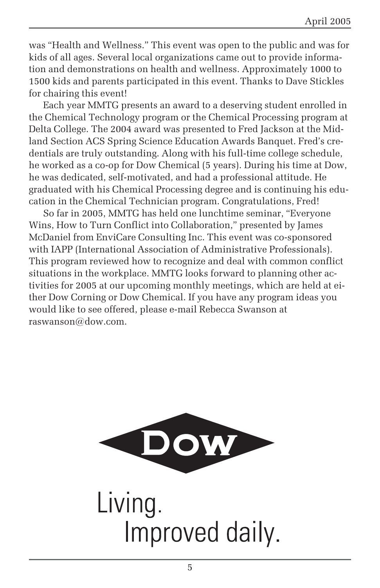was "Health and Wellness." This event was open to the public and was for kids of all ages. Several local organizations came out to provide information and demonstrations on health and wellness. Approximately 1000 to 1500 kids and parents participated in this event. Thanks to Dave Stickles for chairing this event!

Each year MMTG presents an award to a deserving student enrolled in the Chemical Technology program or the Chemical Processing program at Delta College. The 2004 award was presented to Fred Jackson at the Midland Section ACS Spring Science Education Awards Banquet. Fred's credentials are truly outstanding. Along with his full-time college schedule, he worked as a co-op for Dow Chemical (5 years). During his time at Dow, he was dedicated, self-motivated, and had a professional attitude. He graduated with his Chemical Processing degree and is continuing his education in the Chemical Technician program. Congratulations, Fred!

So far in 2005, MMTG has held one lunchtime seminar, "Everyone Wins, How to Turn Conflict into Collaboration," presented by James McDaniel from EnviCare Consulting Inc. This event was co-sponsored with IAPP (International Association of Administrative Professionals). This program reviewed how to recognize and deal with common conflict situations in the workplace. MMTG looks forward to planning other activities for 2005 at our upcoming monthly meetings, which are held at either Dow Corning or Dow Chemical. If you have any program ideas you would like to see offered, please e-mail Rebecca Swanson at raswanson@dow.com.



Living. Improved daily.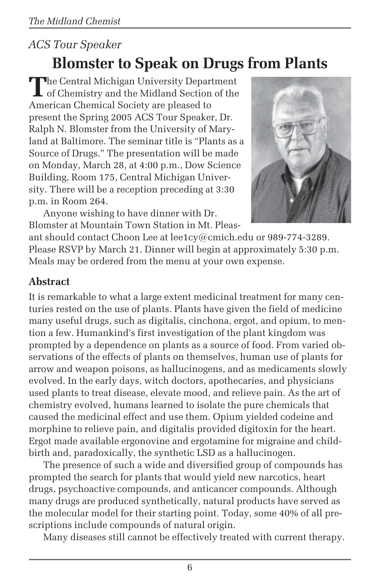### *ACS Tour Speaker*

## **Blomster to Speak on Drugs from Plants**

**T**he Central Michigan University Department of Chemistry and the Midland Section of the American Chemical Society are pleased to present the Spring 2005 ACS Tour Speaker, Dr. Ralph N. Blomster from the University of Maryland at Baltimore. The seminar title is "Plants as a Source of Drugs." The presentation will be made on Monday, March 28, at 4:00 p.m., Dow Science Building, Room 175, Central Michigan University. There will be a reception preceding at 3:30 p.m. in Room 264.



Anyone wishing to have dinner with Dr. Blomster at Mountain Town Station in Mt. Pleas-

ant should contact Choon Lee at lee1cy@cmich.edu or 989-774-3289. Please RSVP by March 21. Dinner will begin at approximately 5:30 p.m. Meals may be ordered from the menu at your own expense.

### **Abstract**

It is remarkable to what a large extent medicinal treatment for many centuries rested on the use of plants. Plants have given the field of medicine many useful drugs, such as digitalis, cinchona, ergot, and opium, to mention a few. Humankind's first investigation of the plant kingdom was prompted by a dependence on plants as a source of food. From varied observations of the effects of plants on themselves, human use of plants for arrow and weapon poisons, as hallucinogens, and as medicaments slowly evolved. In the early days, witch doctors, apothecaries, and physicians used plants to treat disease, elevate mood, and relieve pain. As the art of chemistry evolved, humans learned to isolate the pure chemicals that caused the medicinal effect and use them. Opium yielded codeine and morphine to relieve pain, and digitalis provided digitoxin for the heart. Ergot made available ergonovine and ergotamine for migraine and childbirth and, paradoxically, the synthetic LSD as a hallucinogen.

The presence of such a wide and diversified group of compounds has prompted the search for plants that would yield new narcotics, heart drugs, psychoactive compounds, and anticancer compounds. Although many drugs are produced synthetically, natural products have served as the molecular model for their starting point. Today, some 40% of all prescriptions include compounds of natural origin.

Many diseases still cannot be effectively treated with current therapy.

6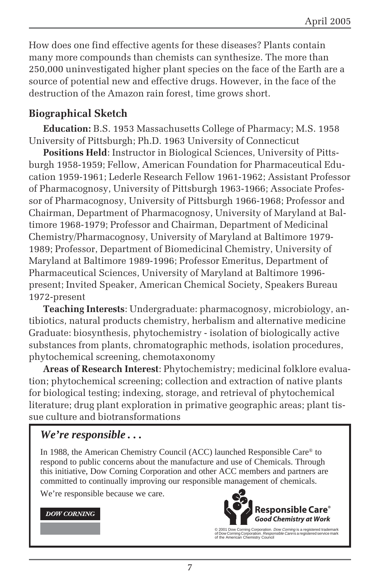How does one find effective agents for these diseases? Plants contain many more compounds than chemists can synthesize. The more than 250,000 uninvestigated higher plant species on the face of the Earth are a source of potential new and effective drugs. However, in the face of the destruction of the Amazon rain forest, time grows short.

#### **Biographical Sketch**

**Education:** B.S. 1953 Massachusetts College of Pharmacy; M.S. 1958 University of Pittsburgh; Ph.D. 1963 University of Connecticut

**Positions Held**: Instructor in Biological Sciences, University of Pittsburgh 1958-1959; Fellow, American Foundation for Pharmaceutical Education 1959-1961; Lederle Research Fellow 1961-1962; Assistant Professor of Pharmacognosy, University of Pittsburgh 1963-1966; Associate Professor of Pharmacognosy, University of Pittsburgh 1966-1968; Professor and Chairman, Department of Pharmacognosy, University of Maryland at Baltimore 1968-1979; Professor and Chairman, Department of Medicinal Chemistry/Pharmacognosy, University of Maryland at Baltimore 1979- 1989; Professor, Department of Biomedicinal Chemistry, University of Maryland at Baltimore 1989-1996; Professor Emeritus, Department of Pharmaceutical Sciences, University of Maryland at Baltimore 1996 present; Invited Speaker, American Chemical Society, Speakers Bureau 1972-present

**Teaching Interests**: Undergraduate: pharmacognosy, microbiology, antibiotics, natural products chemistry, herbalism and alternative medicine Graduate: biosynthesis, phytochemistry - isolation of biologically active substances from plants, chromatographic methods, isolation procedures, phytochemical screening, chemotaxonomy

**Areas of Research Interest**: Phytochemistry; medicinal folklore evaluation; phytochemical screening; collection and extraction of native plants for biological testing; indexing, storage, and retrieval of phytochemical literature; drug plant exploration in primative geographic areas; plant tissue culture and biotransformations

#### *We're responsible . . .*

In 1988, the American Chemistry Council (ACC) launched Responsible Care® to respond to public concerns about the manufacture and use of Chemicals. Through this initiative, Dow Corning Corporation and other ACC members and partners are committed to continually improving our responsible management of chemicals.

We're responsible because we care.

#### **DOW CORNING**



© 2001 Dow Corning Corporation. *Dow Corning* is a registered trademark<br>of Dow Corning Corporation. *Responsible Care* is a registered service mark<br>of the American Chemistry Council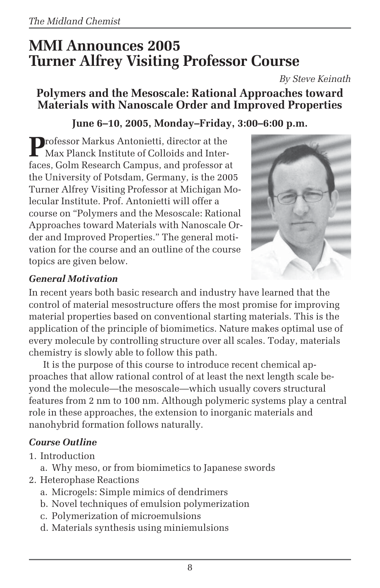## **MMI Announces 2005 Turner Alfrey Visiting Professor Course**

*By Steve Keinath*

### **Polymers and the Mesoscale: Rational Approaches toward Materials with Nanoscale Order and Improved Properties**

### **June 6–10, 2005, Monday–Friday, 3:00–6:00 p.m.**

**P**rofessor Markus Antonietti, director at the  $\Gamma$  Max Planck Institute of Colloids and Interfaces, Golm Research Campus, and professor at the University of Potsdam, Germany, is the 2005 Turner Alfrey Visiting Professor at Michigan Molecular Institute. Prof. Antonietti will offer a course on "Polymers and the Mesoscale: Rational Approaches toward Materials with Nanoscale Order and Improved Properties." The general motivation for the course and an outline of the course topics are given below.



### *General Motivation*

In recent years both basic research and industry have learned that the control of material mesostructure offers the most promise for improving material properties based on conventional starting materials. This is the application of the principle of biomimetics. Nature makes optimal use of every molecule by controlling structure over all scales. Today, materials chemistry is slowly able to follow this path.

It is the purpose of this course to introduce recent chemical approaches that allow rational control of at least the next length scale beyond the molecule—the mesoscale—which usually covers structural features from 2 nm to 100 nm. Although polymeric systems play a central role in these approaches, the extension to inorganic materials and nanohybrid formation follows naturally.

### *Course Outline*

- 1. Introduction
	- a. Why meso, or from biomimetics to Japanese swords
- 2. Heterophase Reactions
	- a. Microgels: Simple mimics of dendrimers
	- b. Novel techniques of emulsion polymerization
	- c. Polymerization of microemulsions
	- d. Materials synthesis using miniemulsions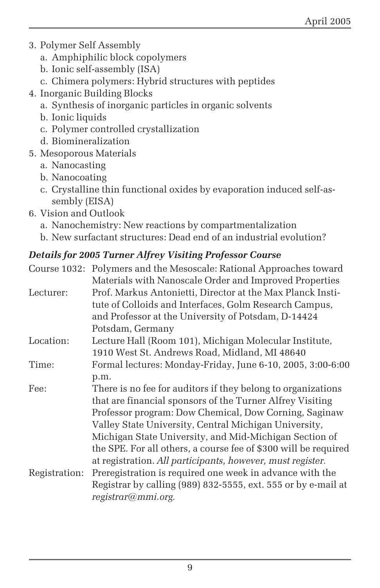- 3. Polymer Self Assembly
	- a. Amphiphilic block copolymers
	- b. Ionic self-assembly (ISA)
	- c. Chimera polymers: Hybrid structures with peptides
- 4. Inorganic Building Blocks
	- a. Synthesis of inorganic particles in organic solvents
	- b. Ionic liquids
	- c. Polymer controlled crystallization
	- d. Biomineralization
- 5. Mesoporous Materials
	- a. Nanocasting
	- b. Nanocoating
	- c. Crystalline thin functional oxides by evaporation induced self-assembly (EISA)
- 6. Vision and Outlook
	- a. Nanochemistry: New reactions by compartmentalization
	- b. New surfactant structures: Dead end of an industrial evolution?

### *Details for 2005 Turner Alfrey Visiting Professor Course*

|               | Detuns für 2000 Turner Anfrey Visiting Frojessor Course             |
|---------------|---------------------------------------------------------------------|
|               | Course 1032: Polymers and the Mesoscale: Rational Approaches toward |
|               | Materials with Nanoscale Order and Improved Properties              |
| Lecturer:     | Prof. Markus Antonietti, Director at the Max Planck Insti-          |
|               | tute of Colloids and Interfaces, Golm Research Campus,              |
|               | and Professor at the University of Potsdam, D-14424                 |
|               | Potsdam, Germany                                                    |
| Location:     | Lecture Hall (Room 101), Michigan Molecular Institute,              |
|               | 1910 West St. Andrews Road, Midland, MI 48640                       |
| Time:         | Formal lectures: Monday-Friday, June 6-10, 2005, 3:00-6:00          |
|               | p.m.                                                                |
| Fee:          | There is no fee for auditors if they belong to organizations        |
|               | that are financial sponsors of the Turner Alfrey Visiting           |
|               | Professor program: Dow Chemical, Dow Corning, Saginaw               |
|               | Valley State University, Central Michigan University,               |
|               | Michigan State University, and Mid-Michigan Section of              |
|               | the SPE. For all others, a course fee of \$300 will be required     |
|               | at registration. All participants, however, must register.          |
| Registration: | Preregistration is required one week in advance with the            |
|               | Registrar by calling (989) 832-5555, ext. 555 or by e-mail at       |
|               | registrar@mmi.org.                                                  |
|               |                                                                     |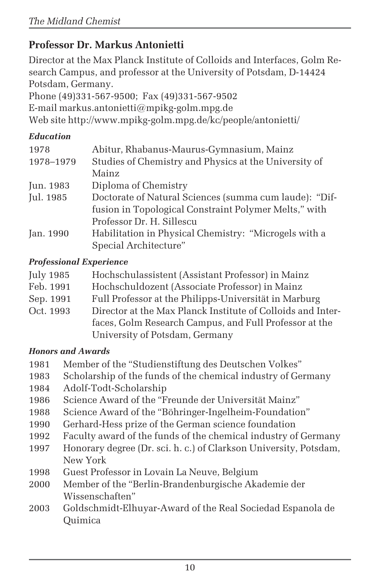### **Professor Dr. Markus Antonietti**

Director at the Max Planck Institute of Colloids and Interfaces, Golm Research Campus, and professor at the University of Potsdam, D-14424 Potsdam, Germany.

Phone (49)331-567-9500; Fax (49)331-567-9502

E-mail markus.antonietti@mpikg-golm.mpg.de

Web site http://www.mpikg-golm.mpg.de/kc/people/antonietti/

#### *Education*

| 1978      | Abitur, Rhabanus-Maurus-Gymnasium, Mainz               |
|-----------|--------------------------------------------------------|
| 1978-1979 | Studies of Chemistry and Physics at the University of  |
|           | Mainz                                                  |
| Jun. 1983 | Diploma of Chemistry                                   |
| Jul. 1985 | Doctorate of Natural Sciences (summa cum laude): "Dif- |
|           | fusion in Topological Constraint Polymer Melts," with  |
|           | Professor Dr. H. Sillescu                              |
| Jan. 1990 | Habilitation in Physical Chemistry: "Microgels with a  |
|           | Special Architecture"                                  |

#### *Professional Experience*

| Hochschulassistent (Assistant Professor) in Mainz           |
|-------------------------------------------------------------|
| Hochschuldozent (Associate Professor) in Mainz              |
| Full Professor at the Philipps-Universität in Marburg       |
| Director at the Max Planck Institute of Colloids and Inter- |
| faces, Golm Research Campus, and Full Professor at the      |
| University of Potsdam, Germany                              |
|                                                             |

#### *Honors and Awards*

- 1981 Member of the "Studienstiftung des Deutschen Volkes"
- 1983 Scholarship of the funds of the chemical industry of Germany
- 1984 Adolf-Todt-Scholarship
- 1986 Science Award of the "Freunde der Universität Mainz"
- 1988 Science Award of the "Böhringer-Ingelheim-Foundation"
- 1990 Gerhard-Hess prize of the German science foundation
- 1992 Faculty award of the funds of the chemical industry of Germany
- 1997 Honorary degree (Dr. sci. h. c.) of Clarkson University, Potsdam, New York
- 1998 Guest Professor in Lovain La Neuve, Belgium
- 2000 Member of the "Berlin-Brandenburgische Akademie der Wissenschaften"
- 2003 Goldschmidt-Elhuyar-Award of the Real Sociedad Espanola de **Ouimica**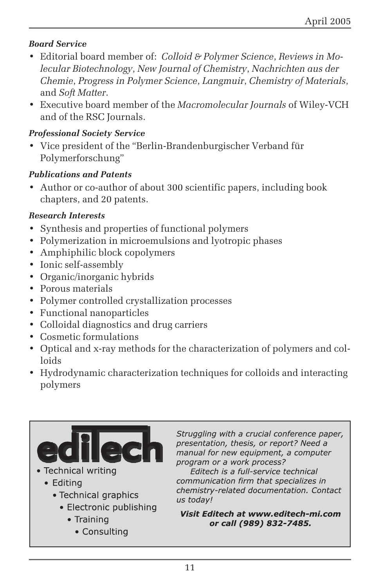#### *Board Service*

- Editorial board member of: *Colloid & Polymer Science*, *Reviews in Molecular Biotechnology*, *New Journal of Chemistry*, *Nachrichten aus der Chemie*, *Progress in Polymer Science*, *Langmuir*, *Chemistry of Materials*, and *Soft Matter*.
- Executive board member of the *Macromolecular Journals* of Wiley-VCH and of the RSC Journals.

#### *Professional Society Service*

• Vice president of the "Berlin-Brandenburgischer Verband für Polymerforschung"

#### *Publications and Patents*

• Author or co-author of about 300 scientific papers, including book chapters, and 20 patents.

#### *Research Interests*

- Synthesis and properties of functional polymers
- Polymerization in microemulsions and lyotropic phases
- Amphiphilic block copolymers
- Ionic self-assembly
- Organic/inorganic hybrids
- Porous materials
- Polymer controlled crystallization processes
- Functional nanoparticles
- Colloidal diagnostics and drug carriers
- Cosmetic formulations
- Optical and x-ray methods for the characterization of polymers and colloids
- Hydrodynamic characterization techniques for colloids and interacting polymers



- · Technical writing
	- Editing
		- Technical graphics
			- Electronic publishing
				- Training
					- Consulting

Struggling with a crucial conference paper, presentation, thesis, or report? Need a manual for new equipment, a computer program or a work process?

Editech is a full-service technical communication firm that specializes in chemistry-related documentation. Contact us today!

Visit Editech at www.editech-mi.com or call (989) 832-7485.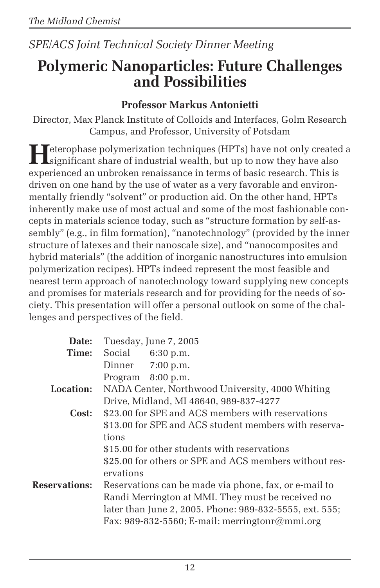### *SPE/ACS Joint Technical Society Dinner Meeting*

## **Polymeric Nanoparticles: Future Challenges and Possibilities**

### **Professor Markus Antonietti**

Director, Max Planck Institute of Colloids and Interfaces, Golm Research Campus, and Professor, University of Potsdam

**H**eterophase polymerization techniques (HPTs) have not only created a significant share of industrial wealth, but up to now they have also experienced an unbroken renaissance in terms of basic research. This is driven on one hand by the use of water as a very favorable and environmentally friendly "solvent" or production aid. On the other hand, HPTs inherently make use of most actual and some of the most fashionable concepts in materials science today, such as "structure formation by self-assembly" (e.g., in film formation), "nanotechnology" (provided by the inner structure of latexes and their nanoscale size), and "nanocomposites and hybrid materials" (the addition of inorganic nanostructures into emulsion polymerization recipes). HPTs indeed represent the most feasible and nearest term approach of nanotechnology toward supplying new concepts and promises for materials research and for providing for the needs of society. This presentation will offer a personal outlook on some of the challenges and perspectives of the field.

| Date:                |                                                        | Tuesday, June 7, 2005                                   |  |
|----------------------|--------------------------------------------------------|---------------------------------------------------------|--|
| Time:                |                                                        | Social 6:30 p.m.                                        |  |
|                      |                                                        | Dinner 7:00 p.m.                                        |  |
|                      |                                                        | Program 8:00 p.m.                                       |  |
| <b>Location:</b>     |                                                        | NADA Center, Northwood University, 4000 Whiting         |  |
|                      |                                                        | Drive, Midland, MI 48640, 989-837-4277                  |  |
| Cost:                |                                                        | \$23.00 for SPE and ACS members with reservations       |  |
|                      |                                                        | \$13.00 for SPE and ACS student members with reserva-   |  |
|                      | tions                                                  |                                                         |  |
|                      |                                                        | \$15.00 for other students with reservations            |  |
|                      | \$25.00 for others or SPE and ACS members without res- |                                                         |  |
|                      | ervations                                              |                                                         |  |
| <b>Reservations:</b> |                                                        | Reservations can be made via phone, fax, or e-mail to   |  |
|                      |                                                        | Randi Merrington at MMI. They must be received no       |  |
|                      |                                                        | later than June 2, 2005. Phone: 989-832-5555, ext. 555; |  |
|                      |                                                        | Fax: 989-832-5560; E-mail: merringtonr@mmi.org          |  |
|                      |                                                        |                                                         |  |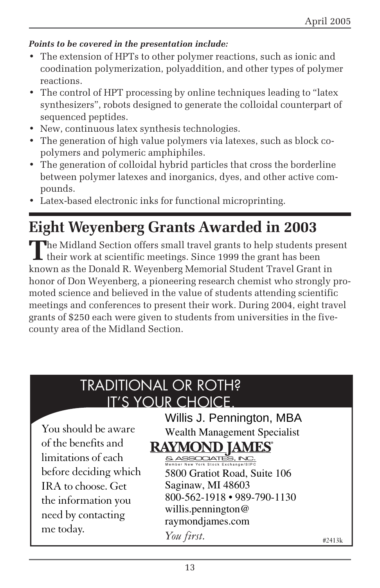#### *Points to be covered in the presentation include:*

- The extension of HPTs to other polymer reactions, such as ionic and coodination polymerization, polyaddition, and other types of polymer reactions.
- The control of HPT processing by online techniques leading to "latex synthesizers", robots designed to generate the colloidal counterpart of sequenced peptides.
- New, continuous latex synthesis technologies.
- The generation of high value polymers via latexes, such as block copolymers and polymeric amphiphiles.
- The generation of colloidal hybrid particles that cross the borderline between polymer latexes and inorganics, dyes, and other active compounds.
- Latex-based electronic inks for functional microprinting.

## **Eight Weyenberg Grants Awarded in 2003**

The Midland Section offers small travel grants to help students present<br>their work at scientific meetings. Since 1999 the grant has been known as the Donald R. Weyenberg Memorial Student Travel Grant in honor of Don Weyenberg, a pioneering research chemist who strongly promoted science and believed in the value of students attending scientific meetings and conferences to present their work. During 2004, eight travel grants of \$250 each were given to students from universities in the fivecounty area of the Midland Section.

## TRADITIONAL OR ROTH? IT'S YOUR CHOICE.

You should be aware of the benefits and limitations of each before deciding which IRA to choose. Get the information you need by contacting me today. *You first.*

### Willis J. Pennington, MBA Wealth Management Specialist

### **RAYMOND IAMES®**

5800 Gratiot Road, Suite 106 Saginaw, MI 48603 800-562-1918 • 989-790-1130 willis.pennington@ raymondjames.com

#2413k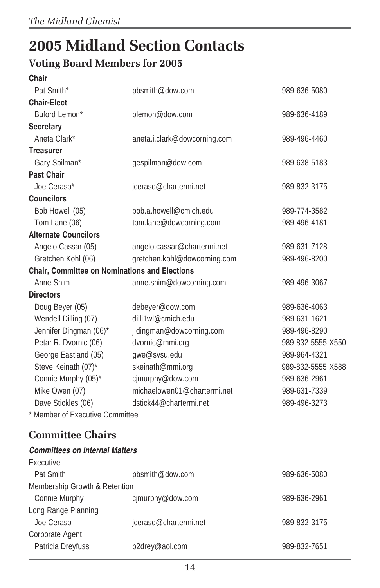# **2005 Midland Section Contacts**

### **Voting Board Members for 2005**

| <b>Chair</b>                                  |                              |                   |
|-----------------------------------------------|------------------------------|-------------------|
| Pat Smith*                                    | pbsmith@dow.com              | 989-636-5080      |
| <b>Chair-Elect</b>                            |                              |                   |
| Buford Lemon*                                 | blemon@dow.com               | 989-636-4189      |
| <b>Secretary</b>                              |                              |                   |
| Aneta Clark*                                  | aneta.i.clark@dowcorning.com | 989-496-4460      |
| <b>Treasurer</b>                              |                              |                   |
| Gary Spilman*                                 | gespilman@dow.com            | 989-638-5183      |
| <b>Past Chair</b>                             |                              |                   |
| Joe Ceraso*                                   | jceraso@chartermi.net        | 989-832-3175      |
| <b>Councilors</b>                             |                              |                   |
| Bob Howell (05)                               | bob.a.howell@cmich.edu       | 989-774-3582      |
| Tom Lane (06)                                 | tom.lane@dowcorning.com      | 989-496-4181      |
| <b>Alternate Councilors</b>                   |                              |                   |
| Angelo Cassar (05)                            | angelo.cassar@chartermi.net  | 989-631-7128      |
| Gretchen Kohl (06)                            | gretchen.kohl@dowcorning.com | 989-496-8200      |
| Chair, Committee on Nominations and Elections |                              |                   |
| Anne Shim                                     | anne.shim@dowcorning.com     | 989-496-3067      |
| <b>Directors</b>                              |                              |                   |
| Doug Beyer (05)                               | debeyer@dow.com              | 989-636-4063      |
| Wendell Dilling (07)                          | dilli1wl@cmich.edu           | 989-631-1621      |
| Jennifer Dingman (06)*                        | j.dingman@dowcorning.com     | 989-496-8290      |
| Petar R. Dvornic (06)                         | dvornic@mmi.org              | 989-832-5555 X550 |
| George Eastland (05)                          | gwe@svsu.edu                 | 989-964-4321      |
| Steve Keinath (07)*                           | skeinath@mmi.org             | 989-832-5555 X588 |
| Connie Murphy (05)*                           | cjmurphy@dow.com             | 989-636-2961      |
| Mike Owen (07)                                | michaelowen01@chartermi.net  | 989-631-7339      |
| Dave Stickles (06)                            | dstick44@chartermi.net       | 989-496-3273      |
| * Member of Executive Committee               |                              |                   |

### **Committee Chairs**

#### **Committees on Internal Matters**  $E_{YQQU}$

| <b>LYCULIVE</b>               |                       |              |
|-------------------------------|-----------------------|--------------|
| Pat Smith                     | pbsmith@dow.com       | 989-636-5080 |
| Membership Growth & Retention |                       |              |
| Connie Murphy                 | cimurphy@dow.com      | 989-636-2961 |
| Long Range Planning           |                       |              |
| Joe Ceraso                    | jceraso@chartermi.net | 989-832-3175 |
| Corporate Agent               |                       |              |
| Patricia Dreyfuss             | p2drey@aol.com        | 989-832-7651 |
|                               |                       |              |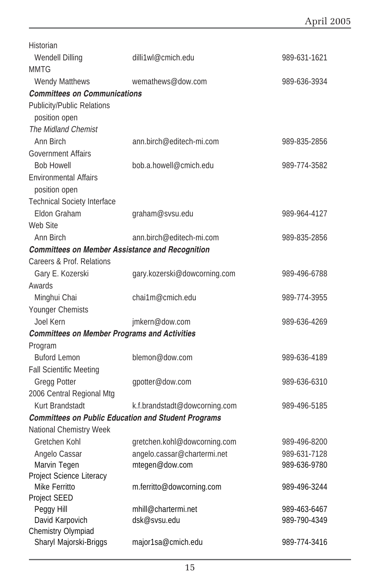| <b>Wendell Dilling</b><br>dilli1wl@cmich.edu                                  |  |
|-------------------------------------------------------------------------------|--|
| 989-631-1621                                                                  |  |
| <b>MMTG</b>                                                                   |  |
| <b>Wendy Matthews</b><br>wemathews@dow.com<br>989-636-3934                    |  |
| <b>Committees on Communications</b>                                           |  |
| <b>Publicity/Public Relations</b>                                             |  |
| position open                                                                 |  |
| The Midland Chemist                                                           |  |
| Ann Birch<br>ann.birch@editech-mi.com<br>989-835-2856                         |  |
| <b>Government Affairs</b>                                                     |  |
| <b>Bob Howell</b><br>bob.a.howell@cmich.edu<br>989-774-3582                   |  |
| <b>Environmental Affairs</b>                                                  |  |
| position open                                                                 |  |
| <b>Technical Society Interface</b>                                            |  |
| Eldon Graham<br>graham@svsu.edu<br>989-964-4127                               |  |
| Web Site                                                                      |  |
| Ann Birch<br>ann.birch@editech-mi.com<br>989-835-2856                         |  |
| <b>Committees on Member Assistance and Recognition</b>                        |  |
| Careers & Prof. Relations                                                     |  |
| Gary E. Kozerski<br>gary.kozerski@dowcorning.com<br>989-496-6788              |  |
| Awards                                                                        |  |
| chai1m@cmich.edu<br>Minghui Chai<br>989-774-3955                              |  |
| Younger Chemists                                                              |  |
| Joel Kern<br>jmkern@dow.com<br>989-636-4269                                   |  |
| <b>Committees on Member Programs and Activities</b>                           |  |
| Program                                                                       |  |
| <b>Buford Lemon</b><br>blemon@dow.com<br>989-636-4189                         |  |
| <b>Fall Scientific Meeting</b>                                                |  |
| Gregg Potter<br>gpotter@dow.com<br>989-636-6310                               |  |
| 2006 Central Regional Mtg                                                     |  |
| Kurt Brandstadt<br>k.f.brandstadt@dowcorning.com<br>989-496-5185              |  |
| <b>Committees on Public Education and Student Programs</b>                    |  |
| <b>National Chemistry Week</b>                                                |  |
| Gretchen Kohl<br>gretchen.kohl@dowcorning.com<br>989-496-8200                 |  |
| angelo.cassar@chartermi.net<br>Angelo Cassar<br>989-631-7128                  |  |
| Marvin Tegen<br>mtegen@dow.com<br>989-636-9780                                |  |
| Project Science Literacy                                                      |  |
| Mike Ferritto<br>m.ferritto@dowcorning.com<br>989-496-3244                    |  |
| Project SEED<br>mhill@chartermi.net                                           |  |
| Peggy Hill<br>989-463-6467<br>David Karpovich<br>dsk@svsu.edu<br>989-790-4349 |  |
| Chemistry Olympiad                                                            |  |
| Sharyl Majorski-Briggs<br>major1sa@cmich.edu<br>989-774-3416                  |  |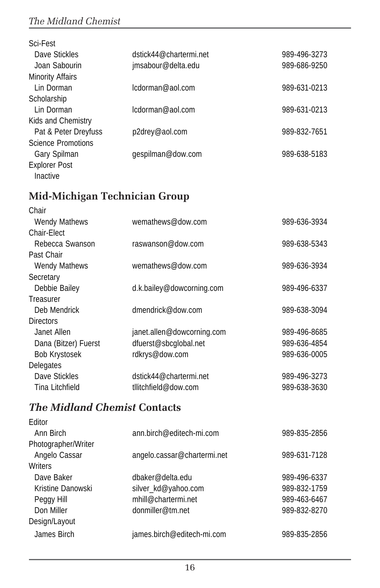### *The Midland Chemist*

| Sci-Fest                  |                        |              |
|---------------------------|------------------------|--------------|
| Dave Stickles             | dstick44@chartermi.net | 989-496-3273 |
| Joan Sabourin             | jmsabour@delta.edu     | 989-686-9250 |
| <b>Minority Affairs</b>   |                        |              |
| Lin Dorman                | lcdorman@aol.com       | 989-631-0213 |
| Scholarship               |                        |              |
| Lin Dorman                | lcdorman@aol.com       | 989-631-0213 |
| Kids and Chemistry        |                        |              |
| Pat & Peter Dreyfuss      | p2drey@aol.com         | 989-832-7651 |
| <b>Science Promotions</b> |                        |              |
| Gary Spilman              | gespilman@dow.com      | 989-638-5183 |
| <b>Explorer Post</b>      |                        |              |
| Inactive                  |                        |              |

### **Mid-Michigan Technician Group**

| Chair                |                            |              |
|----------------------|----------------------------|--------------|
| <b>Wendy Mathews</b> | wemathews@dow.com          | 989-636-3934 |
| Chair-Elect          |                            |              |
| Rebecca Swanson      | raswanson@dow.com          | 989-638-5343 |
| Past Chair           |                            |              |
| <b>Wendy Mathews</b> | wemathews@dow.com          | 989-636-3934 |
| Secretary            |                            |              |
| Debbie Bailey        | d.k.bailey@dowcorning.com  | 989-496-6337 |
| Treasurer            |                            |              |
| Deb Mendrick         | dmendrick@dow.com          | 989-638-3094 |
| <b>Directors</b>     |                            |              |
| Janet Allen          | janet.allen@dowcorning.com | 989-496-8685 |
| Dana (Bitzer) Fuerst | dfuerst@sbcglobal.net      | 989-636-4854 |
| <b>Bob Krystosek</b> | rdkrys@dow.com             | 989-636-0005 |
| Delegates            |                            |              |
| Dave Stickles        | dstick44@chartermi.net     | 989-496-3273 |
| Tina Litchfield      | tllitchfield@dow.com       | 989-638-3630 |
|                      |                            |              |

### *The Midland Chemist* **Contacts**

| Editor              |                             |              |
|---------------------|-----------------------------|--------------|
| Ann Birch           | ann.birch@editech-mi.com    | 989-835-2856 |
| Photographer/Writer |                             |              |
| Angelo Cassar       | angelo.cassar@chartermi.net | 989-631-7128 |
| Writers             |                             |              |
| Dave Baker          | dbaker@delta.edu            | 989-496-6337 |
| Kristine Danowski   | silver kd@yahoo.com         | 989-832-1759 |
| Peggy Hill          | mhill@chartermi.net         | 989-463-6467 |
| Don Miller          | donmiller@tm.net            | 989-832-8270 |
| Design/Layout       |                             |              |
| James Birch         | james.birch@editech-mi.com  | 989-835-2856 |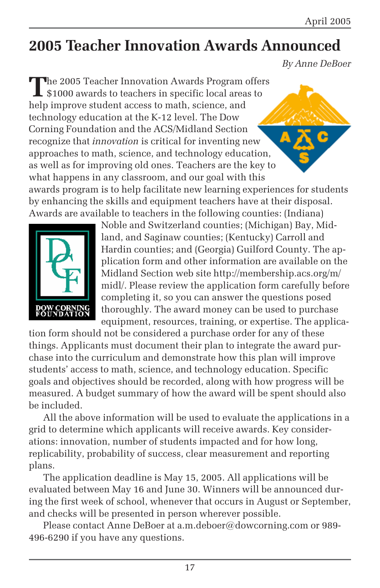## **2005 Teacher Innovation Awards Announced**

*By Anne DeBoer*

**T**he 2005 Teacher Innovation Awards Program offers \$1000 awards to teachers in specific local areas to help improve student access to math, science, and technology education at the K-12 level. The Dow Corning Foundation and the ACS/Midland Section recognize that *innovation* is critical for inventing new approaches to math, science, and technology education, as well as for improving old ones. Teachers are the key to what happens in any classroom, and our goal with this

awards program is to help facilitate new learning experiences for students by enhancing the skills and equipment teachers have at their disposal. Awards are available to teachers in the following counties: (Indiana)



Noble and Switzerland counties; (Michigan) Bay, Midland, and Saginaw counties; (Kentucky) Carroll and Hardin counties; and (Georgia) Guilford County. The application form and other information are available on the Midland Section web site http://membership.acs.org/m/ midl/. Please review the application form carefully before completing it, so you can answer the questions posed thoroughly. The award money can be used to purchase equipment, resources, training, or expertise. The applica-

tion form should not be considered a purchase order for any of these things. Applicants must document their plan to integrate the award purchase into the curriculum and demonstrate how this plan will improve students' access to math, science, and technology education. Specific goals and objectives should be recorded, along with how progress will be measured. A budget summary of how the award will be spent should also be included.

All the above information will be used to evaluate the applications in a grid to determine which applicants will receive awards. Key considerations: innovation, number of students impacted and for how long, replicability, probability of success, clear measurement and reporting plans.

The application deadline is May 15, 2005. All applications will be evaluated between May 16 and June 30. Winners will be announced during the first week of school, whenever that occurs in August or September, and checks will be presented in person wherever possible.

Please contact Anne DeBoer at a.m.deboer@dowcorning.com or 989- 496-6290 if you have any questions.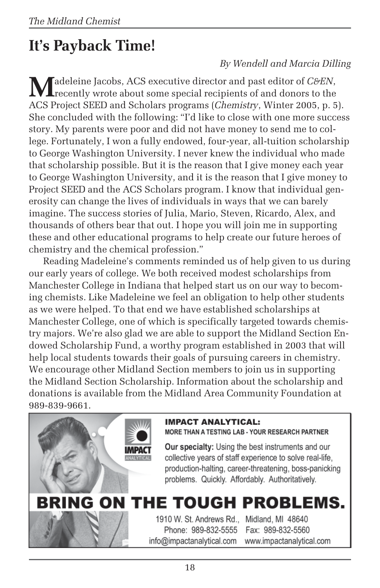# **It's Payback Time!**

### *By Wendell and Marcia Dilling*

Madeleine Jacobs, ACS executive director and past editor of *C&EN*,<br>recently wrote about some special recipients of and donors to the ACS Project SEED and Scholars programs (*Chemistry*, Winter 2005, p. 5). She concluded with the following: "I'd like to close with one more success story. My parents were poor and did not have money to send me to college. Fortunately, I won a fully endowed, four-year, all-tuition scholarship to George Washington University. I never knew the individual who made that scholarship possible. But it is the reason that I give money each year to George Washington University, and it is the reason that I give money to Project SEED and the ACS Scholars program. I know that individual generosity can change the lives of individuals in ways that we can barely imagine. The success stories of Julia, Mario, Steven, Ricardo, Alex, and thousands of others bear that out. I hope you will join me in supporting these and other educational programs to help create our future heroes of chemistry and the chemical profession."

Reading Madeleine's comments reminded us of help given to us during our early years of college. We both received modest scholarships from Manchester College in Indiana that helped start us on our way to becoming chemists. Like Madeleine we feel an obligation to help other students as we were helped. To that end we have established scholarships at Manchester College, one of which is specifically targeted towards chemistry majors. We're also glad we are able to support the Midland Section Endowed Scholarship Fund, a worthy program established in 2003 that will help local students towards their goals of pursuing careers in chemistry. We encourage other Midland Section members to join us in supporting the Midland Section Scholarship. Information about the scholarship and donations is available from the Midland Area Community Foundation at 989-839-9661.



#### **IMPACT ANALYTICAL:**

MORE THAN A TESTING LAB - YOUR RESEARCH PARTNER

**Our specialty:** Using the best instruments and our collective years of staff experience to solve real-life, production-halting, career-threatening, boss-panicking problems. Quickly. Affordably. Authoritatively.

# **BRING ON THE TOUGH PROBLEMS.**

1910 W. St. Andrews Rd., Midland, MI 48640 Phone: 989-832-5555 info@impactanalytical.com

Fax: 989-832-5560 www.impactanalytical.com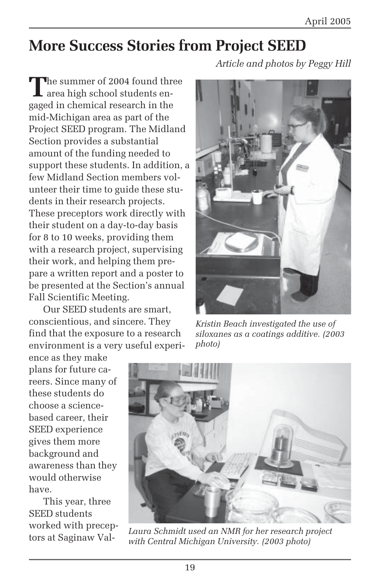## **More Success Stories from Project SEED**

*Article and photos by Peggy Hill*

**T**he summer of 2004 found three area high school students engaged in chemical research in the mid-Michigan area as part of the Project SEED program. The Midland Section provides a substantial amount of the funding needed to support these students. In addition, a few Midland Section members volunteer their time to guide these students in their research projects. These preceptors work directly with their student on a day-to-day basis for 8 to 10 weeks, providing them with a research project, supervising their work, and helping them prepare a written report and a poster to be presented at the Section's annual Fall Scientific Meeting.

Our SEED students are smart, conscientious, and sincere. They find that the exposure to a research environment is a very useful experi-

ence as they make plans for future careers. Since many of these students do choose a sciencebased career, their SEED experience gives them more background and awareness than they would otherwise have.

This year, three SEED students worked with preceptors at Saginaw Val-



*Kristin Beach investigated the use of siloxanes as a coatings additive. (2003 photo)*



*Laura Schmidt used an NMR for her research project with Central Michigan University. (2003 photo)*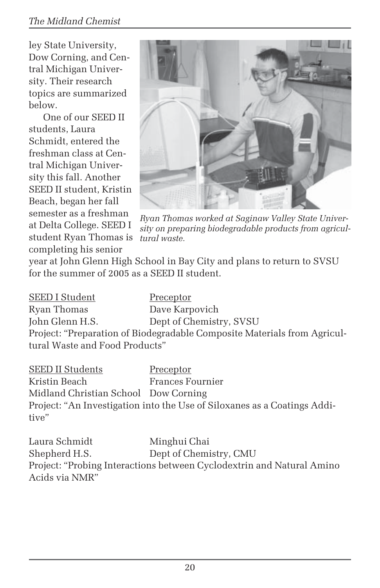ley State University, Dow Corning, and Central Michigan University. Their research topics are summarized below.

One of our SEED II students, Laura Schmidt, entered the freshman class at Central Michigan University this fall. Another SEED II student, Kristin Beach, began her fall semester as a freshman at Delta College. SEED I student Ryan Thomas is completing his senior



*Ryan Thomas worked at Saginaw Valley State University on preparing biodegradable products from agricultural waste.*

year at John Glenn High School in Bay City and plans to return to SVSU for the summer of 2005 as a SEED II student.

| <b>SEED I Student</b>          | Preceptor                                                                |
|--------------------------------|--------------------------------------------------------------------------|
| Ryan Thomas                    | Dave Karpovich                                                           |
| John Glenn H.S.                | Dept of Chemistry, SVSU                                                  |
|                                | Project: "Preparation of Biodegradable Composite Materials from Agricul- |
| tural Waste and Food Products" |                                                                          |

SEED II Students Preceptor Kristin Beach Frances Fournier Midland Christian School Dow Corning Project: "An Investigation into the Use of Siloxanes as a Coatings Additive"

Laura Schmidt Minghui Chai Shepherd H.S. Dept of Chemistry, CMU Project: "Probing Interactions between Cyclodextrin and Natural Amino Acids via NMR"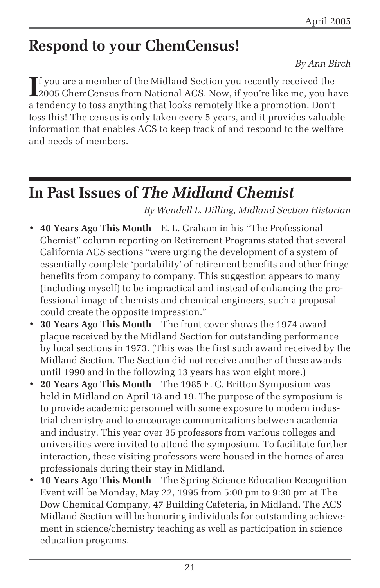## **Respond to your ChemCensus!**

#### *By Ann Birch*

If you are a member of the Midland Section you recently received the<br>2005 ChemCensus from National ACS. Now, if you're like me, you ha 2005 ChemCensus from National ACS. Now, if you're like me, you have a tendency to toss anything that looks remotely like a promotion. Don't toss this! The census is only taken every 5 years, and it provides valuable information that enables ACS to keep track of and respond to the welfare and needs of members.

## **In Past Issues of** *The Midland Chemist*

*By Wendell L. Dilling, Midland Section Historian*

- **40 Years Ago This Month**—E. L. Graham in his "The Professional Chemist" column reporting on Retirement Programs stated that several California ACS sections "were urging the development of a system of essentially complete 'portability' of retirement benefits and other fringe benefits from company to company. This suggestion appears to many (including myself) to be impractical and instead of enhancing the professional image of chemists and chemical engineers, such a proposal could create the opposite impression."
- **30 Years Ago This Month**—The front cover shows the 1974 award plaque received by the Midland Section for outstanding performance by local sections in 1973. (This was the first such award received by the Midland Section. The Section did not receive another of these awards until 1990 and in the following 13 years has won eight more.)
- **20 Years Ago This Month**—The 1985 E. C. Britton Symposium was held in Midland on April 18 and 19. The purpose of the symposium is to provide academic personnel with some exposure to modern industrial chemistry and to encourage communications between academia and industry. This year over 35 professors from various colleges and universities were invited to attend the symposium. To facilitate further interaction, these visiting professors were housed in the homes of area professionals during their stay in Midland.
- **10 Years Ago This Month**—The Spring Science Education Recognition Event will be Monday, May 22, 1995 from 5:00 pm to 9:30 pm at The Dow Chemical Company, 47 Building Cafeteria, in Midland. The ACS Midland Section will be honoring individuals for outstanding achievement in science/chemistry teaching as well as participation in science education programs.